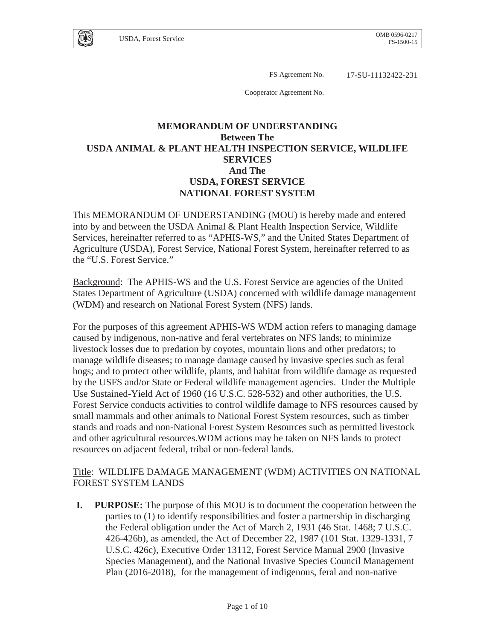

FS Agreement No. 17-SU-11132422-231

Cooperator Agreement No.

## **MEMORANDUM OF UNDERSTANDING Between The USDA ANIMAL & PLANT HEALTH INSPECTION SERVICE, WILDLIFE SERVICES And The USDA, FOREST SERVICE NATIONAL FOREST SYSTEM**

This MEMORANDUM OF UNDERSTANDING (MOU) is hereby made and entered into by and between the USDA Animal & Plant Health Inspection Service, Wildlife Services, hereinafter referred to as "APHIS-WS," and the United States Department of Agriculture (USDA), Forest Service, National Forest System, hereinafter referred to as the "U.S. Forest Service."

Background: The APHIS-WS and the U.S. Forest Service are agencies of the United States Department of Agriculture (USDA) concerned with wildlife damage management (WDM) and research on National Forest System (NFS) lands.

For the purposes of this agreement APHIS-WS WDM action refers to managing damage caused by indigenous, non-native and feral vertebrates on NFS lands; to minimize livestock losses due to predation by coyotes, mountain lions and other predators; to manage wildlife diseases; to manage damage caused by invasive species such as feral hogs; and to protect other wildlife, plants, and habitat from wildlife damage as requested by the USFS and/or State or Federal wildlife management agencies. Under the Multiple Use Sustained-Yield Act of 1960 (16 U.S.C. 528-532) and other authorities, the U.S. Forest Service conducts activities to control wildlife damage to NFS resources caused by small mammals and other animals to National Forest System resources, such as timber stands and roads and non-National Forest System Resources such as permitted livestock and other agricultural resources.WDM actions may be taken on NFS lands to protect resources on adjacent federal, tribal or non-federal lands.

#### Title: WILDLIFE DAMAGE MANAGEMENT (WDM) ACTIVITIES ON NATIONAL FOREST SYSTEM LANDS

**I. PURPOSE:** The purpose of this MOU is to document the cooperation between the parties to (1) to identify responsibilities and foster a partnership in discharging the Federal obligation under the Act of March 2, 1931 (46 Stat. 1468; 7 U.S.C. 426-426b), as amended, the Act of December 22, 1987 (101 Stat. 1329-1331, 7 U.S.C. 426c), Executive Order 13112, Forest Service Manual 2900 (Invasive Species Management), and the National Invasive Species Council Management Plan (2016-2018), for the management of indigenous, feral and non-native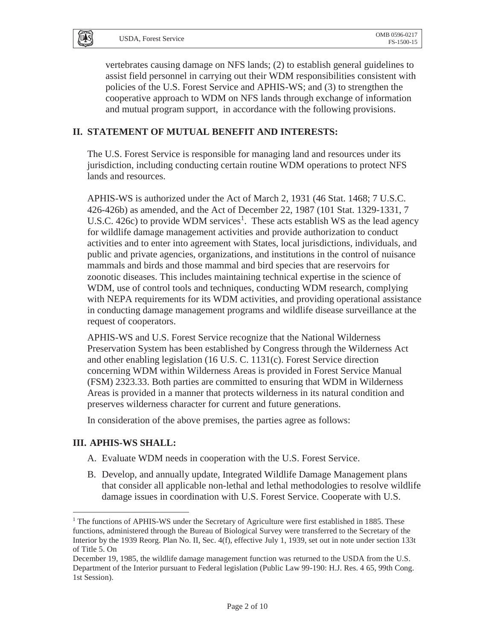U<sub>1</sub>S

vertebrates causing damage on NFS lands; (2) to establish general guidelines to assist field personnel in carrying out their WDM responsibilities consistent with policies of the U.S. Forest Service and APHIS-WS; and (3) to strengthen the cooperative approach to WDM on NFS lands through exchange of information and mutual program support, in accordance with the following provisions.

#### **II. STATEMENT OF MUTUAL BENEFIT AND INTERESTS:**

The U.S. Forest Service is responsible for managing land and resources under its jurisdiction, including conducting certain routine WDM operations to protect NFS lands and resources.

APHIS-WS is authorized under the Act of March 2, 1931 (46 Stat. 1468; 7 U.S.C. 426-426b) as amended, and the Act of December 22, 1987 (101 Stat. 1329-1331, 7 U.S.C. 426c) to provide WDM services<sup>1</sup>. These acts establish WS as the lead agency for wildlife damage management activities and provide authorization to conduct activities and to enter into agreement with States, local jurisdictions, individuals, and public and private agencies, organizations, and institutions in the control of nuisance mammals and birds and those mammal and bird species that are reservoirs for zoonotic diseases. This includes maintaining technical expertise in the science of WDM, use of control tools and techniques, conducting WDM research, complying with NEPA requirements for its WDM activities, and providing operational assistance in conducting damage management programs and wildlife disease surveillance at the request of cooperators.

APHIS-WS and U.S. Forest Service recognize that the National Wilderness Preservation System has been established by Congress through the Wilderness Act and other enabling legislation (16 U.S. C. 1131(c). Forest Service direction concerning WDM within Wilderness Areas is provided in Forest Service Manual (FSM) 2323.33. Both parties are committed to ensuring that WDM in Wilderness Areas is provided in a manner that protects wilderness in its natural condition and preserves wilderness character for current and future generations.

In consideration of the above premises, the parties agree as follows:

#### **III. APHIS-WS SHALL:**

 $\overline{a}$ 

- A. Evaluate WDM needs in cooperation with the U.S. Forest Service.
- B. Develop, and annually update, Integrated Wildlife Damage Management plans that consider all applicable non-lethal and lethal methodologies to resolve wildlife damage issues in coordination with U.S. Forest Service. Cooperate with U.S.

<sup>&</sup>lt;sup>1</sup> The functions of APHIS-WS under the Secretary of Agriculture were first established in 1885. These functions, administered through the Bureau of Biological Survey were transferred to the Secretary of the Interior by the 1939 Reorg. Plan No. II, Sec. 4(f), effective July 1, 1939, set out in note under section 133t of Title 5. On

December 19, 1985, the wildlife damage management function was returned to the USDA from the U.S. Department of the Interior pursuant to Federal legislation (Public Law 99-190: H.J. Res. 4 65, 99th Cong. 1st Session).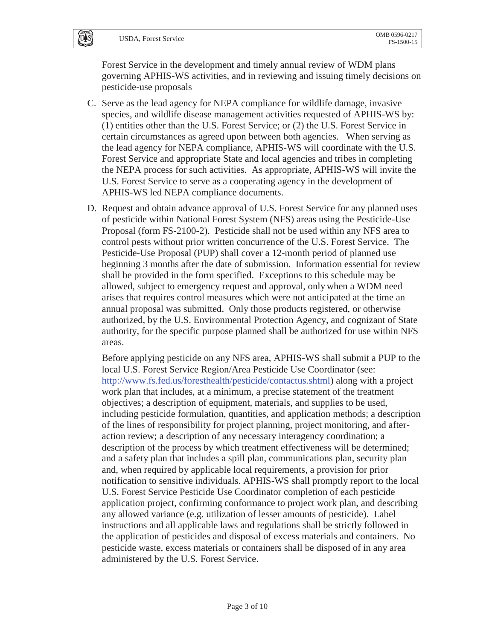# USDA, Forest Service OMB 0596-0217

 $[\overline{u}$ <sub>s</sub>

Forest Service in the development and timely annual review of WDM plans governing APHIS-WS activities, and in reviewing and issuing timely decisions on pesticide-use proposals

- C. Serve as the lead agency for NEPA compliance for wildlife damage, invasive species, and wildlife disease management activities requested of APHIS-WS by: (1) entities other than the U.S. Forest Service; or (2) the U.S. Forest Service in certain circumstances as agreed upon between both agencies. When serving as the lead agency for NEPA compliance, APHIS-WS will coordinate with the U.S. Forest Service and appropriate State and local agencies and tribes in completing the NEPA process for such activities. As appropriate, APHIS-WS will invite the U.S. Forest Service to serve as a cooperating agency in the development of APHIS-WS led NEPA compliance documents.
- D. Request and obtain advance approval of U.S. Forest Service for any planned uses of pesticide within National Forest System (NFS) areas using the Pesticide-Use Proposal (form FS-2100-2). Pesticide shall not be used within any NFS area to control pests without prior written concurrence of the U.S. Forest Service. The Pesticide-Use Proposal (PUP) shall cover a 12-month period of planned use beginning 3 months after the date of submission. Information essential for review shall be provided in the form specified. Exceptions to this schedule may be allowed, subject to emergency request and approval, only when a WDM need arises that requires control measures which were not anticipated at the time an annual proposal was submitted. Only those products registered, or otherwise authorized, by the U.S. Environmental Protection Agency, and cognizant of State authority, for the specific purpose planned shall be authorized for use within NFS areas.

Before applying pesticide on any NFS area, APHIS-WS shall submit a PUP to the local U.S. Forest Service Region/Area Pesticide Use Coordinator (see: http://www.fs.fed.us/foresthealth/pesticide/contactus.shtml) along with a project work plan that includes, at a minimum, a precise statement of the treatment objectives; a description of equipment, materials, and supplies to be used, including pesticide formulation, quantities, and application methods; a description of the lines of responsibility for project planning, project monitoring, and afteraction review; a description of any necessary interagency coordination; a description of the process by which treatment effectiveness will be determined; and a safety plan that includes a spill plan, communications plan, security plan and, when required by applicable local requirements, a provision for prior notification to sensitive individuals. APHIS-WS shall promptly report to the local U.S. Forest Service Pesticide Use Coordinator completion of each pesticide application project, confirming conformance to project work plan, and describing any allowed variance (e.g. utilization of lesser amounts of pesticide). Label instructions and all applicable laws and regulations shall be strictly followed in the application of pesticides and disposal of excess materials and containers. No pesticide waste, excess materials or containers shall be disposed of in any area administered by the U.S. Forest Service.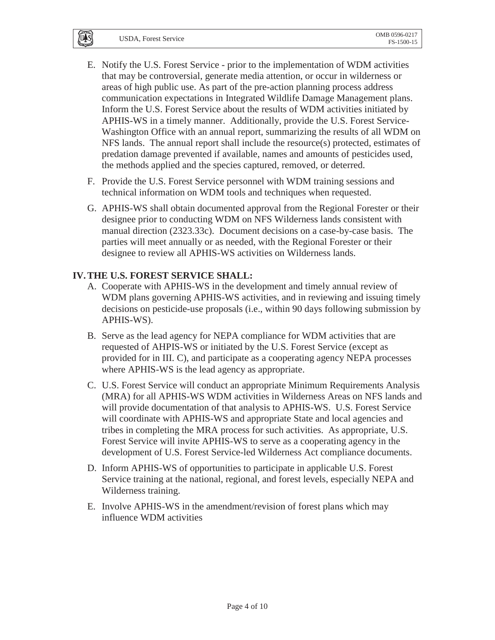$\overline{U}$   $\overline{S}$ 

- E. Notify the U.S. Forest Service prior to the implementation of WDM activities that may be controversial, generate media attention, or occur in wilderness or areas of high public use. As part of the pre-action planning process address communication expectations in Integrated Wildlife Damage Management plans. Inform the U.S. Forest Service about the results of WDM activities initiated by APHIS-WS in a timely manner. Additionally, provide the U.S. Forest Service-Washington Office with an annual report, summarizing the results of all WDM on NFS lands. The annual report shall include the resource(s) protected, estimates of predation damage prevented if available, names and amounts of pesticides used, the methods applied and the species captured, removed, or deterred.
- F. Provide the U.S. Forest Service personnel with WDM training sessions and technical information on WDM tools and techniques when requested.
- G. APHIS-WS shall obtain documented approval from the Regional Forester or their designee prior to conducting WDM on NFS Wilderness lands consistent with manual direction (2323.33c). Document decisions on a case-by-case basis. The parties will meet annually or as needed, with the Regional Forester or their designee to review all APHIS-WS activities on Wilderness lands.

## **IV.THE U.S. FOREST SERVICE SHALL:**

- A. Cooperate with APHIS-WS in the development and timely annual review of WDM plans governing APHIS-WS activities, and in reviewing and issuing timely decisions on pesticide-use proposals (i.e., within 90 days following submission by APHIS-WS).
- B. Serve as the lead agency for NEPA compliance for WDM activities that are requested of AHPIS-WS or initiated by the U.S. Forest Service (except as provided for in III. C), and participate as a cooperating agency NEPA processes where APHIS-WS is the lead agency as appropriate.
- C. U.S. Forest Service will conduct an appropriate Minimum Requirements Analysis (MRA) for all APHIS-WS WDM activities in Wilderness Areas on NFS lands and will provide documentation of that analysis to APHIS-WS. U.S. Forest Service will coordinate with APHIS-WS and appropriate State and local agencies and tribes in completing the MRA process for such activities. As appropriate, U.S. Forest Service will invite APHIS-WS to serve as a cooperating agency in the development of U.S. Forest Service-led Wilderness Act compliance documents.
- D. Inform APHIS-WS of opportunities to participate in applicable U.S. Forest Service training at the national, regional, and forest levels, especially NEPA and Wilderness training.
- E. Involve APHIS-WS in the amendment/revision of forest plans which may influence WDM activities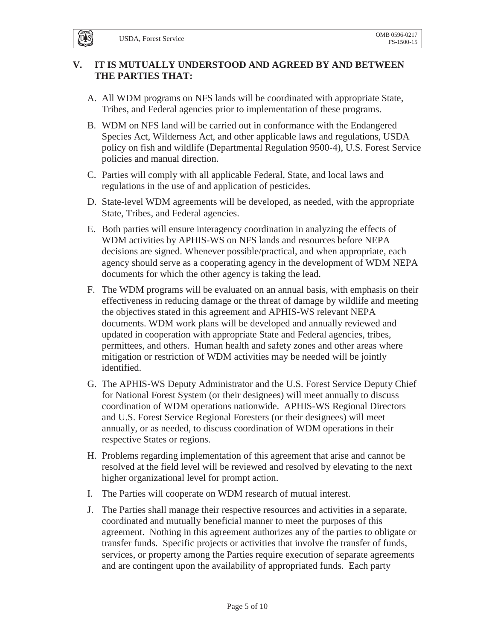**LUAS** 

## **V. IT IS MUTUALLY UNDERSTOOD AND AGREED BY AND BETWEEN THE PARTIES THAT:**

- A. All WDM programs on NFS lands will be coordinated with appropriate State, Tribes, and Federal agencies prior to implementation of these programs.
- B. WDM on NFS land will be carried out in conformance with the Endangered Species Act, Wilderness Act, and other applicable laws and regulations, USDA policy on fish and wildlife (Departmental Regulation 9500-4), U.S. Forest Service policies and manual direction.
- C. Parties will comply with all applicable Federal, State, and local laws and regulations in the use of and application of pesticides.
- D. State-level WDM agreements will be developed, as needed, with the appropriate State, Tribes, and Federal agencies.
- E. Both parties will ensure interagency coordination in analyzing the effects of WDM activities by APHIS-WS on NFS lands and resources before NEPA decisions are signed. Whenever possible/practical, and when appropriate, each agency should serve as a cooperating agency in the development of WDM NEPA documents for which the other agency is taking the lead.
- F. The WDM programs will be evaluated on an annual basis, with emphasis on their effectiveness in reducing damage or the threat of damage by wildlife and meeting the objectives stated in this agreement and APHIS-WS relevant NEPA documents. WDM work plans will be developed and annually reviewed and updated in cooperation with appropriate State and Federal agencies, tribes, permittees, and others. Human health and safety zones and other areas where mitigation or restriction of WDM activities may be needed will be jointly identified.
- G. The APHIS-WS Deputy Administrator and the U.S. Forest Service Deputy Chief for National Forest System (or their designees) will meet annually to discuss coordination of WDM operations nationwide. APHIS-WS Regional Directors and U.S. Forest Service Regional Foresters (or their designees) will meet annually, or as needed, to discuss coordination of WDM operations in their respective States or regions.
- H. Problems regarding implementation of this agreement that arise and cannot be resolved at the field level will be reviewed and resolved by elevating to the next higher organizational level for prompt action.
- I. The Parties will cooperate on WDM research of mutual interest.
- J. The Parties shall manage their respective resources and activities in a separate, coordinated and mutually beneficial manner to meet the purposes of this agreement. Nothing in this agreement authorizes any of the parties to obligate or transfer funds. Specific projects or activities that involve the transfer of funds, services, or property among the Parties require execution of separate agreements and are contingent upon the availability of appropriated funds. Each party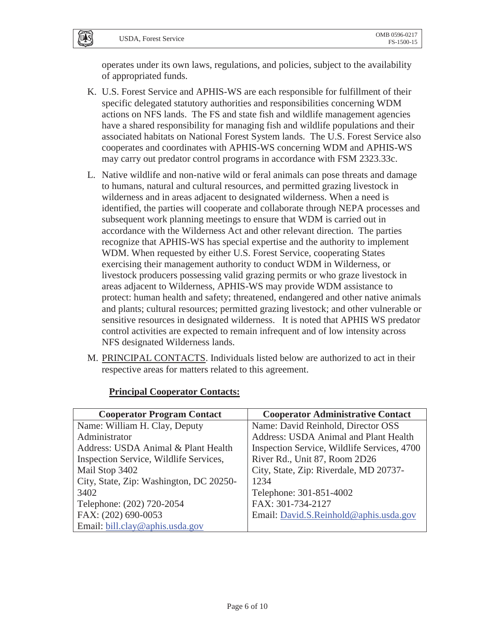$\overline{U}$   $\overline{S}$ 

operates under its own laws, regulations, and policies, subject to the availability of appropriated funds.

- K. U.S. Forest Service and APHIS-WS are each responsible for fulfillment of their specific delegated statutory authorities and responsibilities concerning WDM actions on NFS lands. The FS and state fish and wildlife management agencies have a shared responsibility for managing fish and wildlife populations and their associated habitats on National Forest System lands. The U.S. Forest Service also cooperates and coordinates with APHIS-WS concerning WDM and APHIS-WS may carry out predator control programs in accordance with FSM 2323.33c.
- L. Native wildlife and non-native wild or feral animals can pose threats and damage to humans, natural and cultural resources, and permitted grazing livestock in wilderness and in areas adjacent to designated wilderness. When a need is identified, the parties will cooperate and collaborate through NEPA processes and subsequent work planning meetings to ensure that WDM is carried out in accordance with the Wilderness Act and other relevant direction. The parties recognize that APHIS-WS has special expertise and the authority to implement WDM. When requested by either U.S. Forest Service, cooperating States exercising their management authority to conduct WDM in Wilderness, or livestock producers possessing valid grazing permits or who graze livestock in areas adjacent to Wilderness, APHIS-WS may provide WDM assistance to protect: human health and safety; threatened, endangered and other native animals and plants; cultural resources; permitted grazing livestock; and other vulnerable or sensitive resources in designated wilderness. It is noted that APHIS WS predator control activities are expected to remain infrequent and of low intensity across NFS designated Wilderness lands.
- M. PRINCIPAL CONTACTS. Individuals listed below are authorized to act in their respective areas for matters related to this agreement.

| <b>Cooperator Program Contact</b>       | <b>Cooperator Administrative Contact</b>    |
|-----------------------------------------|---------------------------------------------|
| Name: William H. Clay, Deputy           | Name: David Reinhold, Director OSS          |
| Administrator                           | Address: USDA Animal and Plant Health       |
| Address: USDA Animal & Plant Health     | Inspection Service, Wildlife Services, 4700 |
| Inspection Service, Wildlife Services,  | River Rd., Unit 87, Room 2D26               |
| Mail Stop 3402                          | City, State, Zip: Riverdale, MD 20737-      |
| City, State, Zip: Washington, DC 20250- | 1234                                        |
| 3402                                    | Telephone: 301-851-4002                     |
| Telephone: (202) 720-2054               | FAX: 301-734-2127                           |
| FAX: (202) 690-0053                     | Email: David.S.Reinhold@aphis.usda.gov      |
| Email: bill.clay@aphis.usda.gov         |                                             |

## **Principal Cooperator Contacts:**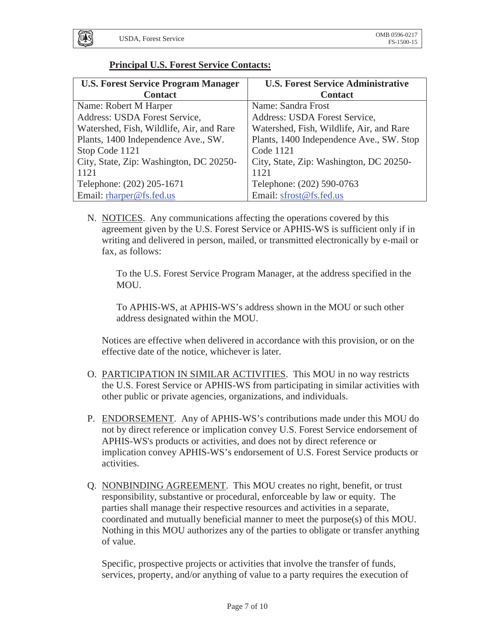

## **Principal U.S. Forest Service Contacts:**

| <b>U.S. Forest Service Program Manager</b> | <b>U.S. Forest Service Administrative</b> |
|--------------------------------------------|-------------------------------------------|
| <b>Contact</b>                             | <b>Contact</b>                            |
| Name: Robert M Harper                      | Name: Sandra Frost                        |
| Address: USDA Forest Service,              | Address: USDA Forest Service,             |
| Watershed, Fish, Wildlife, Air, and Rare   | Watershed, Fish, Wildlife, Air, and Rare  |
| Plants, 1400 Independence Ave., SW.        | Plants, 1400 Independence Ave., SW. Stop  |
| Stop Code 1121                             | Code 1121                                 |
| City, State, Zip: Washington, DC 20250-    | City, State, Zip: Washington, DC 20250-   |
| 1121                                       | 1121                                      |
| Telephone: (202) 205-1671                  | Telephone: (202) 590-0763                 |
| Email: rharper@fs.fed.us                   | Email: sfrost@fs.fed.us                   |

N. NOTICES. Any communications affecting the operations covered by this agreement given by the U.S. Forest Service or APHIS-WS is sufficient only if in writing and delivered in person, mailed, or transmitted electronically by e-mail or fax, as follows:

To the U.S. Forest Service Program Manager, at the address specified in the MOU.

To APHIS-WS, at APHIS-WS's address shown in the MOU or such other address designated within the MOU.

Notices are effective when delivered in accordance with this provision, or on the effective date of the notice, whichever is later.

- O. PARTICIPATION IN SIMILAR ACTIVITIES. This MOU in no way restricts the U.S. Forest Service or APHIS-WS from participating in similar activities with other public or private agencies, organizations, and individuals.
- P. ENDORSEMENT. Any of APHIS-WS's contributions made under this MOU do not by direct reference or implication convey U.S. Forest Service endorsement of APHIS-WS's products or activities, and does not by direct reference or implication convey APHIS-WS's endorsement of U.S. Forest Service products or activities.
- Q. NONBINDING AGREEMENT. This MOU creates no right, benefit, or trust responsibility, substantive or procedural, enforceable by law or equity. The parties shall manage their respective resources and activities in a separate, coordinated and mutually beneficial manner to meet the purpose(s) of this MOU. Nothing in this MOU authorizes any of the parties to obligate or transfer anything of value.

Specific, prospective projects or activities that involve the transfer of funds, services, property, and/or anything of value to a party requires the execution of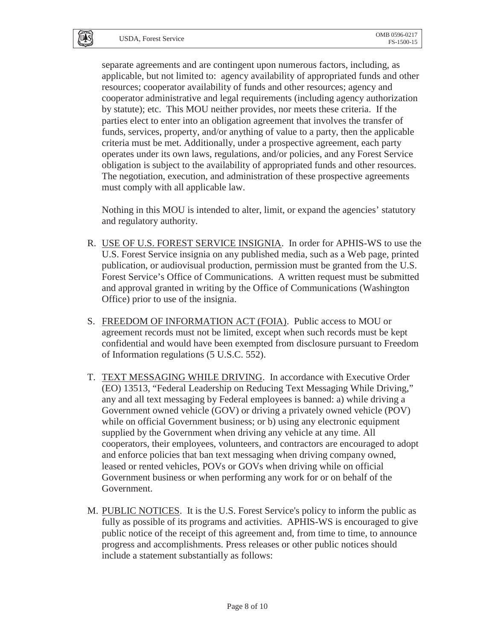**UAS** 

separate agreements and are contingent upon numerous factors, including, as applicable, but not limited to: agency availability of appropriated funds and other resources; cooperator availability of funds and other resources; agency and cooperator administrative and legal requirements (including agency authorization by statute); etc. This MOU neither provides, nor meets these criteria. If the parties elect to enter into an obligation agreement that involves the transfer of funds, services, property, and/or anything of value to a party, then the applicable criteria must be met. Additionally, under a prospective agreement, each party operates under its own laws, regulations, and/or policies, and any Forest Service obligation is subject to the availability of appropriated funds and other resources. The negotiation, execution, and administration of these prospective agreements must comply with all applicable law.

Nothing in this MOU is intended to alter, limit, or expand the agencies' statutory and regulatory authority.

- R. USE OF U.S. FOREST SERVICE INSIGNIA. In order for APHIS-WS to use the U.S. Forest Service insignia on any published media, such as a Web page, printed publication, or audiovisual production, permission must be granted from the U.S. Forest Service's Office of Communications. A written request must be submitted and approval granted in writing by the Office of Communications (Washington Office) prior to use of the insignia.
- S. FREEDOM OF INFORMATION ACT (FOIA). Public access to MOU or agreement records must not be limited, except when such records must be kept confidential and would have been exempted from disclosure pursuant to Freedom of Information regulations (5 U.S.C. 552).
- T. TEXT MESSAGING WHILE DRIVING. In accordance with Executive Order (EO) 13513, "Federal Leadership on Reducing Text Messaging While Driving," any and all text messaging by Federal employees is banned: a) while driving a Government owned vehicle (GOV) or driving a privately owned vehicle (POV) while on official Government business; or b) using any electronic equipment supplied by the Government when driving any vehicle at any time. All cooperators, their employees, volunteers, and contractors are encouraged to adopt and enforce policies that ban text messaging when driving company owned, leased or rented vehicles, POVs or GOVs when driving while on official Government business or when performing any work for or on behalf of the Government.
- M. PUBLIC NOTICES. It is the U.S. Forest Service's policy to inform the public as fully as possible of its programs and activities. APHIS-WS is encouraged to give public notice of the receipt of this agreement and, from time to time, to announce progress and accomplishments. Press releases or other public notices should include a statement substantially as follows: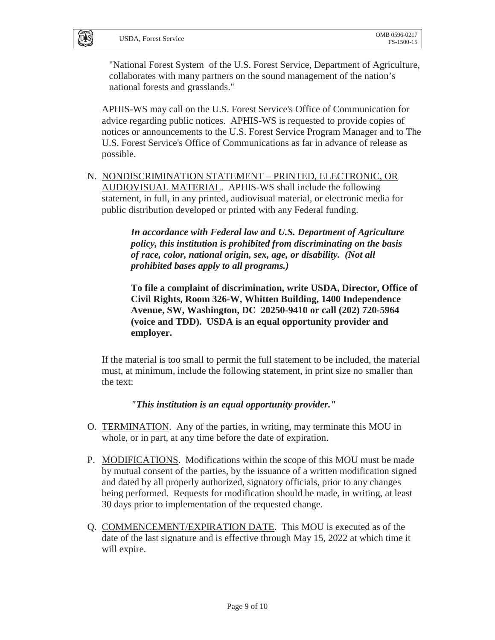U<sub>1</sub>S

"National Forest System of the U.S. Forest Service, Department of Agriculture, collaborates with many partners on the sound management of the nation's national forests and grasslands."

APHIS-WS may call on the U.S. Forest Service's Office of Communication for advice regarding public notices. APHIS-WS is requested to provide copies of notices or announcements to the U.S. Forest Service Program Manager and to The U.S. Forest Service's Office of Communications as far in advance of release as possible.

N. NONDISCRIMINATION STATEMENT – PRINTED, ELECTRONIC, OR AUDIOVISUAL MATERIAL. APHIS-WS shall include the following statement, in full, in any printed, audiovisual material, or electronic media for public distribution developed or printed with any Federal funding.

> *In accordance with Federal law and U.S. Department of Agriculture policy, this institution is prohibited from discriminating on the basis of race, color, national origin, sex, age, or disability. (Not all prohibited bases apply to all programs.)*

**To file a complaint of discrimination, write USDA, Director, Office of Civil Rights, Room 326-W, Whitten Building, 1400 Independence Avenue, SW, Washington, DC 20250-9410 or call (202) 720-5964 (voice and TDD). USDA is an equal opportunity provider and employer.** 

If the material is too small to permit the full statement to be included, the material must, at minimum, include the following statement, in print size no smaller than the text:

*"This institution is an equal opportunity provider."* 

- O. TERMINATION. Any of the parties, in writing, may terminate this MOU in whole, or in part, at any time before the date of expiration.
- P. MODIFICATIONS. Modifications within the scope of this MOU must be made by mutual consent of the parties, by the issuance of a written modification signed and dated by all properly authorized, signatory officials, prior to any changes being performed. Requests for modification should be made, in writing, at least 30 days prior to implementation of the requested change.
- Q. COMMENCEMENT/EXPIRATION DATE. This MOU is executed as of the date of the last signature and is effective through May 15, 2022 at which time it will expire.